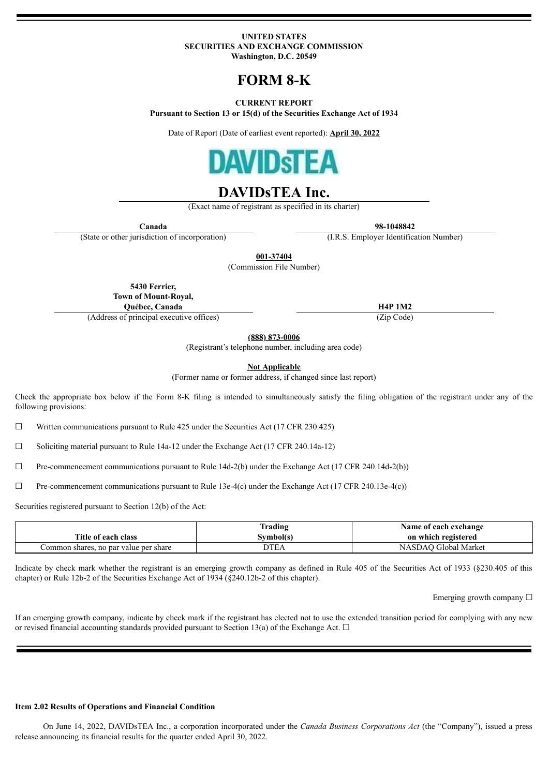## **UNITED STATES SECURITIES AND EXCHANGE COMMISSION Washington, D.C. 20549**

# **FORM 8-K**

# **CURRENT REPORT**

**Pursuant to Section 13 or 15(d) of the Securities Exchange Act of 1934**

Date of Report (Date of earliest event reported): **April 30, 2022**



# **DAVIDsTEA Inc.**

(Exact name of registrant as specified in its charter)

(State or other jurisdiction of incorporation) (I.R.S. Employer Identification Number)

**Canada 98-1048842**

**001-37404**

(Commission File Number)

**5430 Ferrier,**

**Town of Mount-Royal,**

**Québec, Canada H4P 1M2**

(Address of principal executive offices) (Zip Code)

**(888) 873-0006**

(Registrant's telephone number, including area code)

**Not Applicable**

(Former name or former address, if changed since last report)

Check the appropriate box below if the Form 8-K filing is intended to simultaneously satisfy the filing obligation of the registrant under any of the following provisions:

☐ Written communications pursuant to Rule 425 under the Securities Act (17 CFR 230.425)

 $\Box$  Soliciting material pursuant to Rule 14a-12 under the Exchange Act (17 CFR 240.14a-12)

 $\Box$  Pre-commencement communications pursuant to Rule 14d-2(b) under the Exchange Act (17 CFR 240.14d-2(b))

 $\Box$  Pre-commencement communications pursuant to Rule 13e-4(c) under the Exchange Act (17 CFR 240.13e-4(c))

Securities registered pursuant to Section 12(b) of the Act:

|                                       | frading           | Name of each exchange      |  |
|---------------------------------------|-------------------|----------------------------|--|
| Title of each class                   | švmbol(s)         | on which registered        |  |
| Common shares, no par value per share | <b>DTE</b><br>.EA | AO Global Market<br>NASDAC |  |

Indicate by check mark whether the registrant is an emerging growth company as defined in Rule 405 of the Securities Act of 1933 (§230.405 of this chapter) or Rule 12b-2 of the Securities Exchange Act of 1934 (§240.12b-2 of this chapter).

Emerging growth company  $\Box$ 

If an emerging growth company, indicate by check mark if the registrant has elected not to use the extended transition period for complying with any new or revised financial accounting standards provided pursuant to Section 13(a) of the Exchange Act.  $\Box$ 

## **Item 2.02 Results of Operations and Financial Condition**

On June 14, 2022, DAVIDsTEA Inc., a corporation incorporated under the *Canada Business Corporations Act* (the "Company"), issued a press release announcing its financial results for the quarter ended April 30, 2022.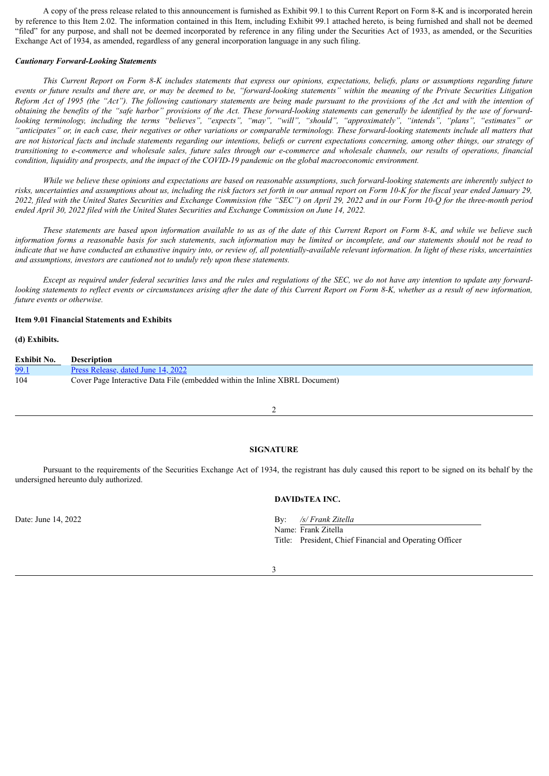A copy of the press release related to this announcement is furnished as Exhibit 99.1 to this Current Report on Form 8-K and is incorporated herein by reference to this Item 2.02. The information contained in this Item, including Exhibit 99.1 attached hereto, is being furnished and shall not be deemed "filed" for any purpose, and shall not be deemed incorporated by reference in any filing under the Securities Act of 1933, as amended, or the Securities Exchange Act of 1934, as amended, regardless of any general incorporation language in any such filing.

#### *Cautionary Forward-Looking Statements*

This Current Report on Form 8-K includes statements that express our opinions, expectations, beliefs, plans or assumptions regarding future events or future results and there are, or may be deemed to be. "forward-looking statements" within the meaning of the Private Securities Litigation Reform Act of 1995 (the "Act"). The following cautionary statements are being made pursuant to the provisions of the Act and with the intention of obtaining the benefits of the "safe harbor" provisions of the Act. These forward-looking statements can generally be identified by the use of forwardlooking terminology, including the terms "believes", "expects", "may", "will", "should", "approximately", "intends", "plans", "estimates" or "anticipates" or, in each case, their negatives or other variations or comparable terminology. These forward-looking statements include all matters that are not historical facts and include statements regarding our intentions, beliefs or current expectations concerning, among other things, our strategy of transitioning to e-commerce and wholesale sales, future sales through our e-commerce and wholesale channels, our results of operations, financial condition, liquidity and prospects, and the impact of the COVID-19 pandemic on the global macroeconomic environment.

While we believe these opinions and expectations are based on reasonable assumptions, such forward-looking statements are inherently subject to risks, uncertainties and assumptions about us, including the risk factors set forth in our annual report on Form 10-K for the fiscal year ended January 29, 2022, filed with the United States Securities and Exchange Commission (the "SEC") on April 29, 2022 and in our Form 10-O for the three-month period *ended April 30, 2022 filed with the United States Securities and Exchange Commission on June 14, 2022.*

These statements are based upon information available to us as of the date of this Current Report on Form 8-K, and while we believe such information forms a reasonable basis for such statements, such information may be limited or incomplete, and our statements should not be read to indicate that we have conducted an exhaustive inquiry into, or review of, all potentially-available relevant information. In light of these risks, uncertainties *and assumptions, investors are cautioned not to unduly rely upon these statements.*

Except as required under federal securities laws and the rules and regulations of the SEC, we do not have any intention to update any forwardlooking statements to reflect events or circumstances arising after the date of this Current Report on Form 8-K, whether as a result of new information. *future events or otherwise.*

#### **Item 9.01 Financial Statements and Exhibits**

# **(d) Exhibits.**

| <b>Exhibit No.</b> | <b>Description</b>                                                          |
|--------------------|-----------------------------------------------------------------------------|
| 99.1               | Press Release, dated June 14, 2022                                          |
| 104                | Cover Page Interactive Data File (embedded within the Inline XBRL Document) |

 $\overline{2}$ 

#### **SIGNATURE**

Pursuant to the requirements of the Securities Exchange Act of 1934, the registrant has duly caused this report to be signed on its behalf by the undersigned hereunto duly authorized.

# **DAVIDsTEA INC.**

Date: June 14, 2022 By: */s/ Frank Zitella* Name: Frank Zitella Title: President, Chief Financial and Operating Officer

3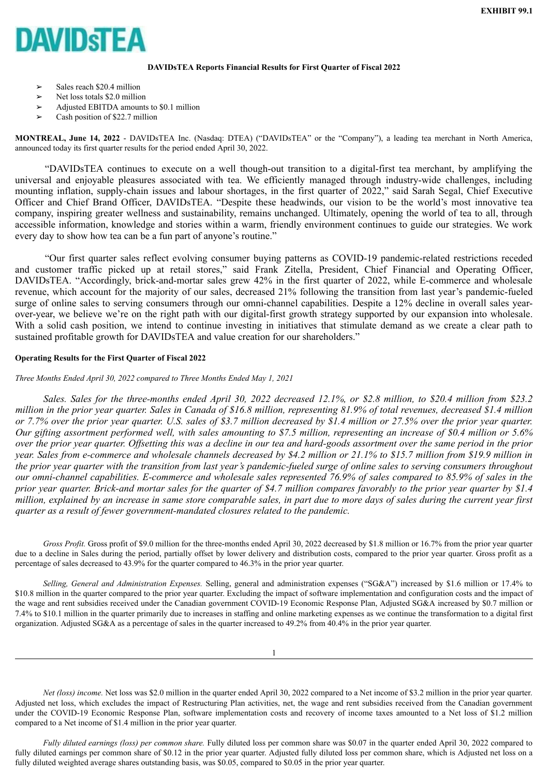<span id="page-2-0"></span>

## **DAVIDsTEA Reports Financial Results for First Quarter of Fiscal 2022**

- $\geq$  Sales reach \$20.4 million
- $\blacktriangleright$  Net loss totals \$2.0 million
- $\blacktriangleright$  Adjusted EBITDA amounts to \$0.1 million
- Cash position of \$22.7 million

**MONTREAL, June 14, 2022** - DAVIDsTEA Inc. (Nasdaq: DTEA) ("DAVIDsTEA" or the "Company"), a leading tea merchant in North America, announced today its first quarter results for the period ended April 30, 2022.

"DAVIDsTEA continues to execute on a well though-out transition to a digital-first tea merchant, by amplifying the universal and enjoyable pleasures associated with tea. We efficiently managed through industry-wide challenges, including mounting inflation, supply-chain issues and labour shortages, in the first quarter of 2022," said Sarah Segal, Chief Executive Officer and Chief Brand Officer, DAVIDsTEA. "Despite these headwinds, our vision to be the world's most innovative tea company, inspiring greater wellness and sustainability, remains unchanged. Ultimately, opening the world of tea to all, through accessible information, knowledge and stories within a warm, friendly environment continues to guide our strategies. We work every day to show how tea can be a fun part of anyone's routine."

"Our first quarter sales reflect evolving consumer buying patterns as COVID-19 pandemic-related restrictions receded and customer traffic picked up at retail stores," said Frank Zitella, President, Chief Financial and Operating Officer, DAVIDsTEA. "Accordingly, brick-and-mortar sales grew 42% in the first quarter of 2022, while E-commerce and wholesale revenue, which account for the majority of our sales, decreased 21% following the transition from last year's pandemic-fueled surge of online sales to serving consumers through our omni-channel capabilities. Despite a 12% decline in overall sales yearover-year, we believe we're on the right path with our digital-first growth strategy supported by our expansion into wholesale. With a solid cash position, we intend to continue investing in initiatives that stimulate demand as we create a clear path to sustained profitable growth for DAVIDsTEA and value creation for our shareholders."

## **Operating Results for the First Quarter of Fiscal 2022**

# *Three Months Ended April 30, 2022 compared to Three Months Ended May 1, 2021*

*Sales. Sales for the three-months ended April 30, 2022 decreased 12.1%, or \$2.8 million, to \$20.4 million from \$23.2 million in the prior year quarter. Sales in Canada of \$16.8 million, representing 81.9% of total revenues, decreased \$1.4 million or 7.7% over the prior year quarter. U.S. sales of \$3.7 million decreased by \$1.4 million or 27.5% over the prior year quarter. Our gifting assortment performed well, with sales amounting to \$7.5 million, representing an increase of \$0.4 million or 5.6% over the prior year quarter. Offsetting this was a decline in our tea and hard-goods assortment over the same period in the prior year. Sales from e-commerce and wholesale channels decreased by \$4.2 million or 21.1% to \$15.7 million from \$19.9 million in the prior year quarter with the transition from last year's pandemic-fueled surge of online sales to serving consumers throughout our omni-channel capabilities. E-commerce and wholesale sales represented 76.9% of sales compared to 85.9% of sales in the prior year quarter. Brick-and mortar sales for the quarter of \$4.7 million compares favorably to the prior year quarter by \$1.4 million, explained by an increase in same store comparable sales, in part due to more days of sales during the current year first quarter as a result of fewer government-mandated closures related to the pandemic.*

*Gross Profit.* Gross profit of \$9.0 million for the three-months ended April 30, 2022 decreased by \$1.8 million or 16.7% from the prior year quarter due to a decline in Sales during the period, partially offset by lower delivery and distribution costs, compared to the prior year quarter. Gross profit as a percentage of sales decreased to 43.9% for the quarter compared to 46.3% in the prior year quarter.

*Selling, General and Administration Expenses.* Selling, general and administration expenses ("SG&A") increased by \$1.6 million or 17.4% to \$10.8 million in the quarter compared to the prior year quarter. Excluding the impact of software implementation and configuration costs and the impact of the wage and rent subsidies received under the Canadian government COVID-19 Economic Response Plan, Adjusted SG&A increased by \$0.7 million or 7.4% to \$10.1 million in the quarter primarily due to increases in staffing and online marketing expenses as we continue the transformation to a digital first organization. Adjusted SG&A as a percentage of sales in the quarter increased to 49.2% from 40.4% in the prior year quarter.

*Net (loss) income.* Net loss was \$2.0 million in the quarter ended April 30, 2022 compared to a Net income of \$3.2 million in the prior year quarter. Adjusted net loss, which excludes the impact of Restructuring Plan activities, net, the wage and rent subsidies received from the Canadian government under the COVID-19 Economic Response Plan, software implementation costs and recovery of income taxes amounted to a Net loss of \$1.2 million compared to a Net income of \$1.4 million in the prior year quarter.

*Fully diluted earnings (loss) per common share.* Fully diluted loss per common share was \$0.07 in the quarter ended April 30, 2022 compared to fully diluted earnings per common share of \$0.12 in the prior year quarter. Adjusted fully diluted loss per common share, which is Adjusted net loss on a fully diluted weighted average shares outstanding basis, was \$0.05, compared to \$0.05 in the prior year quarter.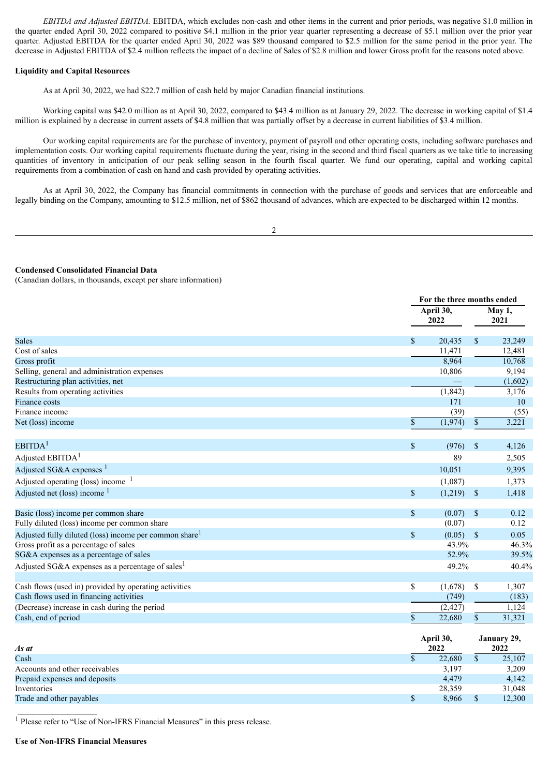*EBITDA and Adjusted EBITDA.* EBITDA, which excludes non-cash and other items in the current and prior periods, was negative \$1.0 million in the quarter ended April 30, 2022 compared to positive \$4.1 million in the prior year quarter representing a decrease of \$5.1 million over the prior year quarter. Adjusted EBITDA for the quarter ended April 30, 2022 was \$89 thousand compared to \$2.5 million for the same period in the prior year. The decrease in Adjusted EBITDA of \$2.4 million reflects the impact of a decline of Sales of \$2.8 million and lower Gross profit for the reasons noted above.

### **Liquidity and Capital Resources**

As at April 30, 2022, we had \$22.7 million of cash held by major Canadian financial institutions.

Working capital was \$42.0 million as at April 30, 2022, compared to \$43.4 million as at January 29, 2022. The decrease in working capital of \$1.4 million is explained by a decrease in current assets of \$4.8 million that was partially offset by a decrease in current liabilities of \$3.4 million.

Our working capital requirements are for the purchase of inventory, payment of payroll and other operating costs, including software purchases and implementation costs. Our working capital requirements fluctuate during the year, rising in the second and third fiscal quarters as we take title to increasing quantities of inventory in anticipation of our peak selling season in the fourth fiscal quarter. We fund our operating, capital and working capital requirements from a combination of cash on hand and cash provided by operating activities.

As at April 30, 2022, the Company has financial commitments in connection with the purchase of goods and services that are enforceable and legally binding on the Company, amounting to \$12.5 million, net of \$862 thousand of advances, which are expected to be discharged within 12 months.

2

## **Condensed Consolidated Financial Data**

(Canadian dollars, in thousands, except per share information)

|                                                              |                         | For the three months ended           |                         |  |
|--------------------------------------------------------------|-------------------------|--------------------------------------|-------------------------|--|
|                                                              |                         | April 30,<br>2022                    | May 1,<br>2021          |  |
| <b>Sales</b>                                                 | \$                      | 20,435                               | $\mathbb{S}$<br>23,249  |  |
| Cost of sales                                                |                         | 11,471                               | 12,481                  |  |
| Gross profit                                                 |                         | 8,964                                | 10,768                  |  |
| Selling, general and administration expenses                 |                         | 10,806                               | 9,194                   |  |
| Restructuring plan activities, net                           |                         |                                      | (1,602)                 |  |
| Results from operating activities                            |                         | (1, 842)                             | 3,176                   |  |
| Finance costs                                                |                         | 171                                  | 10                      |  |
| Finance income                                               |                         | (39)                                 | (55)                    |  |
| Net (loss) income                                            | $\mathbb S$             | (1,974)                              | \$<br>3,221             |  |
| EBITDA <sup>1</sup>                                          | \$                      | (976)                                | $\mathbb{S}$<br>4,126   |  |
| Adjusted $EBITDA1$                                           |                         | 89                                   | 2,505                   |  |
| Adjusted SG&A expenses <sup>1</sup>                          |                         | 10,051                               | 9,395                   |  |
| Adjusted operating (loss) income <sup>1</sup>                |                         | (1,087)                              | 1,373                   |  |
| Adjusted net (loss) income $1$                               | \$                      | (1,219)<br>$\boldsymbol{\mathsf{S}}$ | 1,418                   |  |
| Basic (loss) income per common share                         | \$                      | (0.07)<br>$\boldsymbol{\mathsf{S}}$  | 0.12                    |  |
| Fully diluted (loss) income per common share                 |                         | (0.07)                               | 0.12                    |  |
| Adjusted fully diluted (loss) income per common share        | \$                      | $(0.05)$ \$                          | 0.05                    |  |
| Gross profit as a percentage of sales                        |                         | 43.9%                                | 46.3%                   |  |
| SG&A expenses as a percentage of sales                       |                         | 52.9%<br>39.5%                       |                         |  |
| Adjusted SG&A expenses as a percentage of sales <sup>1</sup> |                         | 49.2%                                | 40.4%                   |  |
| Cash flows (used in) provided by operating activities        | \$                      | \$<br>(1,678)                        | 1,307                   |  |
| Cash flows used in financing activities                      |                         | (749)                                | (183)                   |  |
| (Decrease) increase in cash during the period                |                         | (2, 427)                             | 1,124                   |  |
| Cash, end of period                                          | $\mathbf S$             | 22,680                               | $\mathsf{\$}$<br>31,321 |  |
|                                                              |                         | April 30,                            | January 29,             |  |
| As at                                                        |                         | 2022                                 | 2022                    |  |
| Cash                                                         | $\overline{\mathbb{S}}$ | 22,680                               | $\mathsf{\$}$<br>25,107 |  |
| Accounts and other receivables                               |                         | 3,197                                | 3,209                   |  |
| Prepaid expenses and deposits                                |                         | 4,479                                | 4,142                   |  |
| Inventories                                                  |                         | 28,359                               | 31,048                  |  |

Trade and other payables **8,000 \$ 12,300** \$ 12,300

<sup>1</sup> Please refer to "Use of Non-IFRS Financial Measures" in this press release.

**Use of Non-IFRS Financial Measures**

 $\frac{1}{2}$  ,  $\frac{1}{2}$  ,  $\frac{1}{2}$  ,  $\frac{1}{2}$  ,  $\frac{1}{2}$  ,  $\frac{1}{2}$  ,  $\frac{1}{2}$  ,  $\frac{1}{2}$